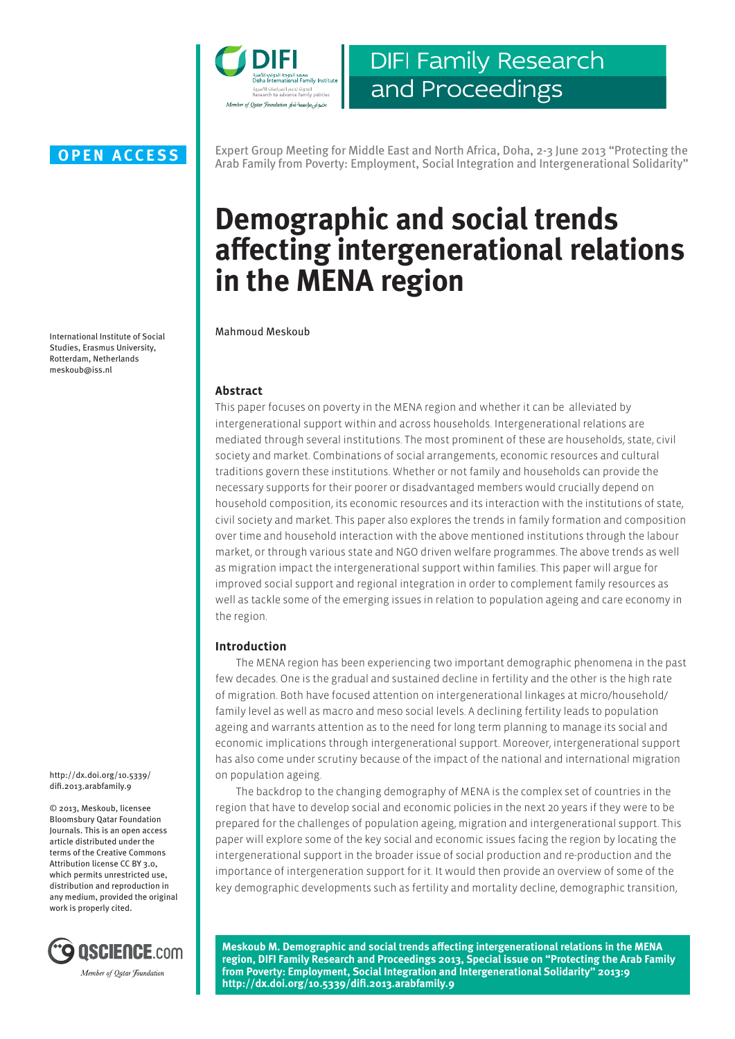

**DIFI Family Research** and Proceedings

International Institute of Social Studies, Erasmus University, Rotterdam, Netherlands meskoub@iss.nl

http://dx.doi.org/10.5339/ difi.2013.arabfamily.9

© 2013, Meskoub, licensee Bloomsbury Qatar Foundation Journals. This is an open access article distributed under the terms of the Creative Commons Attribution license CC BY 3.0, which permits unrestricted use, distribution and reproduction in any medium, provided the original work is properly cited.



Expert Group Meeting for Middle East and North Africa, Doha, 2-3 June 2013 "Protecting the **OPEN ACCESS** Expert Group Meeting for Middle East and North Africa, Doha, 2-3 June 2013 "Protecting the Arab Family from Poverty: Employment, Social Integration and Intergenerational Solidarity"

# **Demographic and social trends affecting intergenerational relations in the MENA region**

Mahmoud Meskoub

# **Abstract**

This paper focuses on poverty in the MENA region and whether it can be alleviated by intergenerational support within and across households. Intergenerational relations are mediated through several institutions. The most prominent of these are households, state, civil society and market. Combinations of social arrangements, economic resources and cultural traditions govern these institutions. Whether or not family and households can provide the necessary supports for their poorer or disadvantaged members would crucially depend on household composition, its economic resources and its interaction with the institutions of state, civil society and market. This paper also explores the trends in family formation and composition over time and household interaction with the above mentioned institutions through the labour market, or through various state and NGO driven welfare programmes. The above trends as well as migration impact the intergenerational support within families. This paper will argue for improved social support and regional integration in order to complement family resources as well as tackle some of the emerging issues in relation to population ageing and care economy in the region.

# **Introduction**

The MENA region has been experiencing two important demographic phenomena in the past few decades. One is the gradual and sustained decline in fertility and the other is the high rate of migration. Both have focused attention on intergenerational linkages at micro/household/ family level as well as macro and meso social levels. A declining fertility leads to population ageing and warrants attention as to the need for long term planning to manage its social and economic implications through intergenerational support. Moreover, intergenerational support has also come under scrutiny because of the impact of the national and international migration on population ageing.

The backdrop to the changing demography of MENA is the complex set of countries in the region that have to develop social and economic policies in the next 20 years if they were to be prepared for the challenges of population ageing, migration and intergenerational support. This paper will explore some of the key social and economic issues facing the region by locating the intergenerational support in the broader issue of social production and re-production and the importance of intergeneration support for it. It would then provide an overview of some of the key demographic developments such as fertility and mortality decline, demographic transition,

**Meskoub M. Demographic and social trends affecting intergenerational relations in the MENA region, DIFI Family Research and Proceedings 2013, Special issue on "Protecting the Arab Family from Poverty: Employment, Social Integration and Intergenerational Solidarity" 2013:9 http://dx.doi.org/10.5339/difi.2013.arabfamily.9**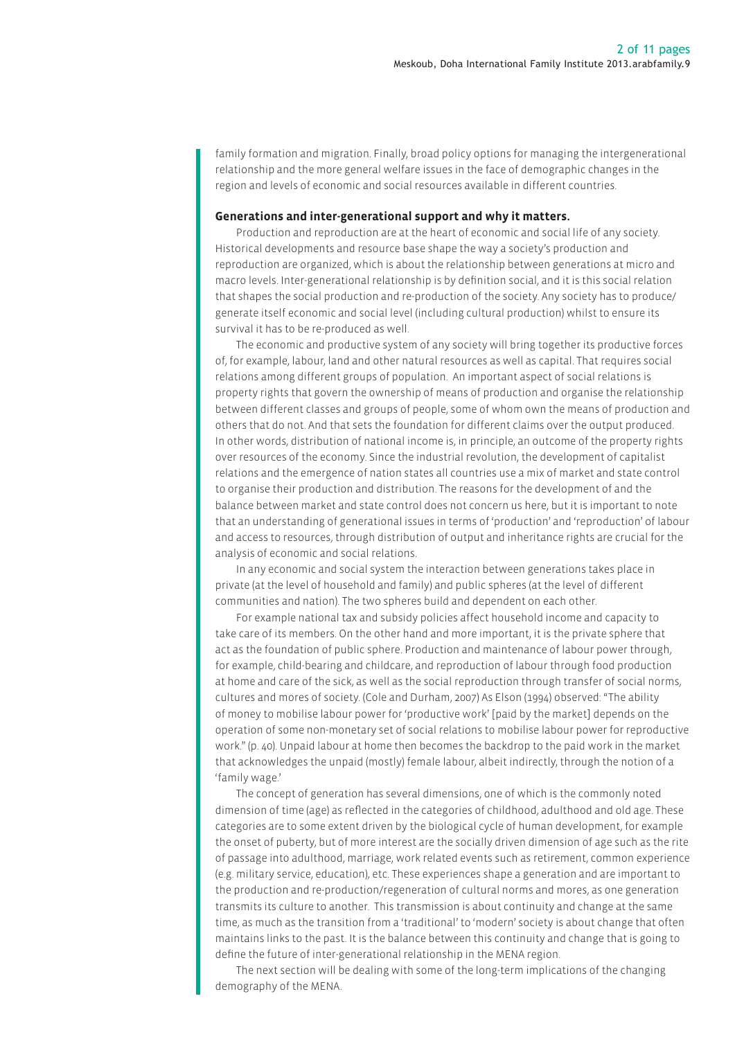family formation and migration. Finally, broad policy options for managing the intergenerational relationship and the more general welfare issues in the face of demographic changes in the region and levels of economic and social resources available in different countries.

#### **Generations and inter-generational support and why it matters.**

Production and reproduction are at the heart of economic and social life of any society. Historical developments and resource base shape the way a society's production and reproduction are organized, which is about the relationship between generations at micro and macro levels. Inter-generational relationship is by definition social, and it is this social relation that shapes the social production and re-production of the society. Any society has to produce/ generate itself economic and social level (including cultural production) whilst to ensure its survival it has to be re-produced as well.

The economic and productive system of any society will bring together its productive forces of, for example, labour, land and other natural resources as well as capital. That requires social relations among different groups of population. An important aspect of social relations is property rights that govern the ownership of means of production and organise the relationship between different classes and groups of people, some of whom own the means of production and others that do not. And that sets the foundation for different claims over the output produced. In other words, distribution of national income is, in principle, an outcome of the property rights over resources of the economy. Since the industrial revolution, the development of capitalist relations and the emergence of nation states all countries use a mix of market and state control to organise their production and distribution. The reasons for the development of and the balance between market and state control does not concern us here, but it is important to note that an understanding of generational issues in terms of 'production' and 'reproduction' of labour and access to resources, through distribution of output and inheritance rights are crucial for the analysis of economic and social relations.

In any economic and social system the interaction between generations takes place in private (at the level of household and family) and public spheres (at the level of different communities and nation). The two spheres build and dependent on each other.

For example national tax and subsidy policies affect household income and capacity to take care of its members. On the other hand and more important, it is the private sphere that act as the foundation of public sphere. Production and maintenance of labour power through, for example, child-bearing and childcare, and reproduction of labour through food production at home and care of the sick, as well as the social reproduction through transfer of social norms, cultures and mores of society. (Cole and Durham, 2007) As Elson (1994) observed: "The ability of money to mobilise labour power for 'productive work' [paid by the market] depends on the operation of some non-monetary set of social relations to mobilise labour power for reproductive work." (p. 40). Unpaid labour at home then becomes the backdrop to the paid work in the market that acknowledges the unpaid (mostly) female labour, albeit indirectly, through the notion of a 'family wage.'

The concept of generation has several dimensions, one of which is the commonly noted dimension of time (age) as reflected in the categories of childhood, adulthood and old age. These categories are to some extent driven by the biological cycle of human development, for example the onset of puberty, but of more interest are the socially driven dimension of age such as the rite of passage into adulthood, marriage, work related events such as retirement, common experience (e.g. military service, education), etc. These experiences shape a generation and are important to the production and re-production/regeneration of cultural norms and mores, as one generation transmits its culture to another. This transmission is about continuity and change at the same time, as much as the transition from a 'traditional' to 'modern' society is about change that often maintains links to the past. It is the balance between this continuity and change that is going to define the future of inter-generational relationship in the MENA region.

The next section will be dealing with some of the long-term implications of the changing demography of the MENA.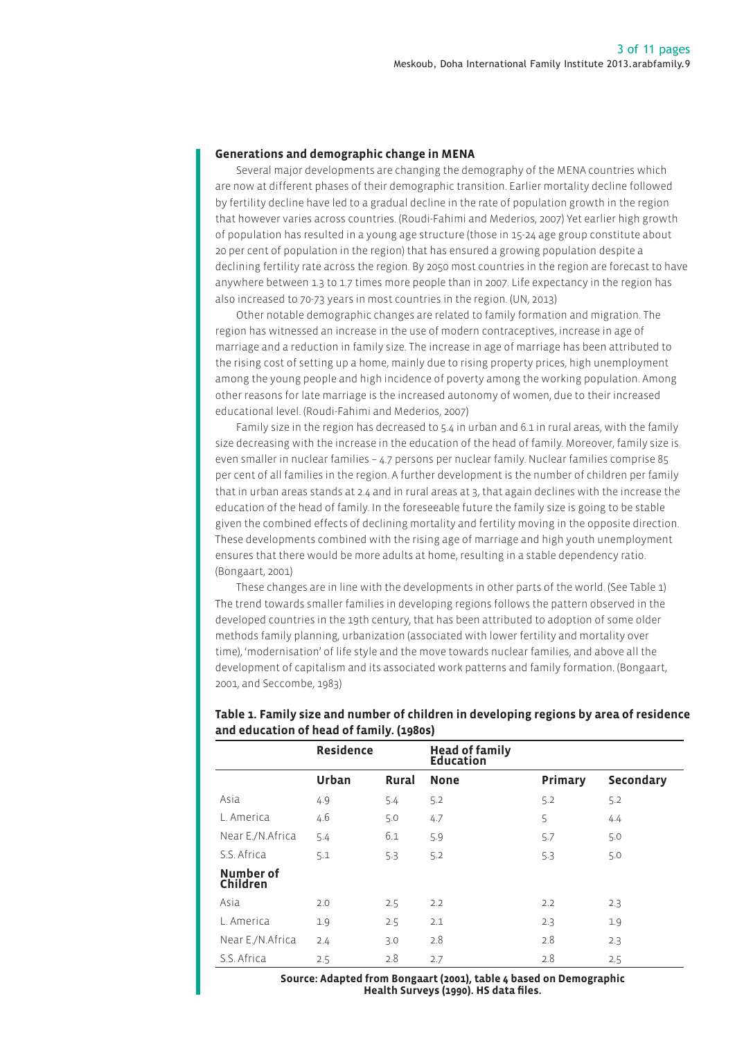#### **Generations and demographic change in MENA**

Several major developments are changing the demography of the MENA countries which are now at different phases of their demographic transition. Earlier mortality decline followed by fertility decline have led to a gradual decline in the rate of population growth in the region that however varies across countries. (Roudi-Fahimi and Mederios, 2007) Yet earlier high growth of population has resulted in a young age structure (those in 15-24 age group constitute about 20 per cent of population in the region) that has ensured a growing population despite a declining fertility rate across the region. By 2050 most countries in the region are forecast to have anywhere between 1.3 to 1.7 times more people than in 2007. Life expectancy in the region has also increased to 70-73 years in most countries in the region. (UN, 2013)

Other notable demographic changes are related to family formation and migration. The region has witnessed an increase in the use of modern contraceptives, increase in age of marriage and a reduction in family size. The increase in age of marriage has been attributed to the rising cost of setting up a home, mainly due to rising property prices, high unemployment among the young people and high incidence of poverty among the working population. Among other reasons for late marriage is the increased autonomy of women, due to their increased educational level. (Roudi-Fahimi and Mederios, 2007)

Family size in the region has decreased to  $5.4$  in urban and  $6.1$  in rural areas, with the family size decreasing with the increase in the education of the head of family. Moreover, family size is even smaller in nuclear families – 4.7 persons per nuclear family. Nuclear families comprise 85 per cent of all families in the region. A further development is the number of children per family that in urban areas stands at 2.4 and in rural areas at 3, that again declines with the increase the education of the head of family. In the foreseeable future the family size is going to be stable given the combined effects of declining mortality and fertility moving in the opposite direction. These developments combined with the rising age of marriage and high youth unemployment ensures that there would be more adults at home, resulting in a stable dependency ratio. (Bongaart, 2001)

These changes are in line with the developments in other parts of the world. (See Table 1) The trend towards smaller families in developing regions follows the pattern observed in the developed countries in the 19th century, that has been attributed to adoption of some older methods family planning, urbanization (associated with lower fertility and mortality over time), 'modernisation' of life style and the move towards nuclear families, and above all the development of capitalism and its associated work patterns and family formation. (Bongaart, 2001, and Seccombe, 1983)

|                              | <b>Residence</b> |              | <b>Head of family<br/>Education</b> |         |           |
|------------------------------|------------------|--------------|-------------------------------------|---------|-----------|
|                              | Urban            | <b>Rural</b> | <b>None</b>                         | Primary | Secondary |
| Asia                         | 4.9              | 5.4          | 5.2                                 | 5.2     | 5.2       |
| L. America                   | 4.6              | 5.0          | 4.7                                 | 5       | 4.4       |
| Near E./N.Africa             | 5.4              | 6.1          | 5.9                                 | 5.7     | 5.0       |
| S.S. Africa                  | 5.1              | 5.3          | 5.2                                 | 5.3     | 5.0       |
| Number of<br><b>Children</b> |                  |              |                                     |         |           |
| Asia                         | 2.0              | 2.5          | 2.2                                 | 2.2     | 2.3       |
| L. America                   | 1.9              | 2.5          | 2.1                                 | 2.3     | 1.9       |
| Near E./N.Africa             | 2.4              | 3.0          | 2.8                                 | 2.8     | 2.3       |
| S.S. Africa                  | 2.5              | 2.8          | 2.7                                 | 2.8     | 2.5       |

# **Table 1. Family size and number of children in developing regions by area of residence and education of head of family. (1980s)**

**Source: Adapted from Bongaart (2001), table 4 based on Demographic Health Surveys (1990). HS data files.**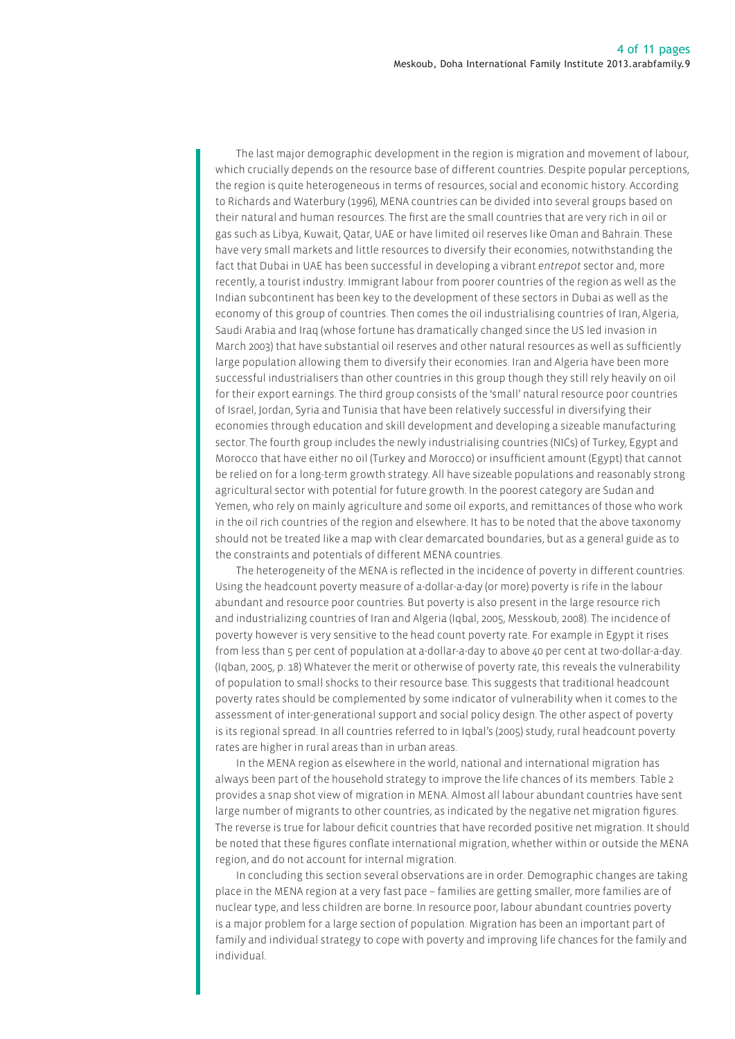The last major demographic development in the region is migration and movement of labour, which crucially depends on the resource base of different countries. Despite popular perceptions, the region is quite heterogeneous in terms of resources, social and economic history. According to Richards and Waterbury (1996), MENA countries can be divided into several groups based on their natural and human resources. The first are the small countries that are very rich in oil or gas such as Libya, Kuwait, Qatar, UAE or have limited oil reserves like Oman and Bahrain. These have very small markets and little resources to diversify their economies, notwithstanding the fact that Dubai in UAE has been successful in developing a vibrant *entrepot* sector and, more recently, a tourist industry. Immigrant labour from poorer countries of the region as well as the Indian subcontinent has been key to the development of these sectors in Dubai as well as the economy of this group of countries. Then comes the oil industrialising countries of Iran, Algeria, Saudi Arabia and Iraq (whose fortune has dramatically changed since the US led invasion in March 2003) that have substantial oil reserves and other natural resources as well as sufficiently large population allowing them to diversify their economies. Iran and Algeria have been more successful industrialisers than other countries in this group though they still rely heavily on oil for their export earnings. The third group consists of the 'small' natural resource poor countries of Israel, Jordan, Syria and Tunisia that have been relatively successful in diversifying their economies through education and skill development and developing a sizeable manufacturing sector. The fourth group includes the newly industrialising countries (NICs) of Turkey, Egypt and Morocco that have either no oil (Turkey and Morocco) or insufficient amount (Egypt) that cannot be relied on for a long-term growth strategy. All have sizeable populations and reasonably strong agricultural sector with potential for future growth. In the poorest category are Sudan and Yemen, who rely on mainly agriculture and some oil exports, and remittances of those who work in the oil rich countries of the region and elsewhere. It has to be noted that the above taxonomy should not be treated like a map with clear demarcated boundaries, but as a general guide as to the constraints and potentials of different MENA countries.

The heterogeneity of the MENA is reflected in the incidence of poverty in different countries. Using the headcount poverty measure of a-dollar-a-day (or more) poverty is rife in the labour abundant and resource poor countries. But poverty is also present in the large resource rich and industrializing countries of Iran and Algeria (Iqbal, 2005, Messkoub, 2008). The incidence of poverty however is very sensitive to the head count poverty rate. For example in Egypt it rises from less than 5 per cent of population at a-dollar-a-day to above 40 per cent at two-dollar-a-day. (Iqban, 2005, p. 18) Whatever the merit or otherwise of poverty rate, this reveals the vulnerability of population to small shocks to their resource base. This suggests that traditional headcount poverty rates should be complemented by some indicator of vulnerability when it comes to the assessment of inter-generational support and social policy design. The other aspect of poverty is its regional spread. In all countries referred to in Iqbal's (2005) study, rural headcount poverty rates are higher in rural areas than in urban areas.

In the MENA region as elsewhere in the world, national and international migration has always been part of the household strategy to improve the life chances of its members. Table 2 provides a snap shot view of migration in MENA. Almost all labour abundant countries have sent large number of migrants to other countries, as indicated by the negative net migration figures. The reverse is true for labour deficit countries that have recorded positive net migration. It should be noted that these figures conflate international migration, whether within or outside the MENA region, and do not account for internal migration.

In concluding this section several observations are in order. Demographic changes are taking place in the MENA region at a very fast pace – families are getting smaller, more families are of nuclear type, and less children are borne. In resource poor, labour abundant countries poverty is a major problem for a large section of population. Migration has been an important part of family and individual strategy to cope with poverty and improving life chances for the family and individual.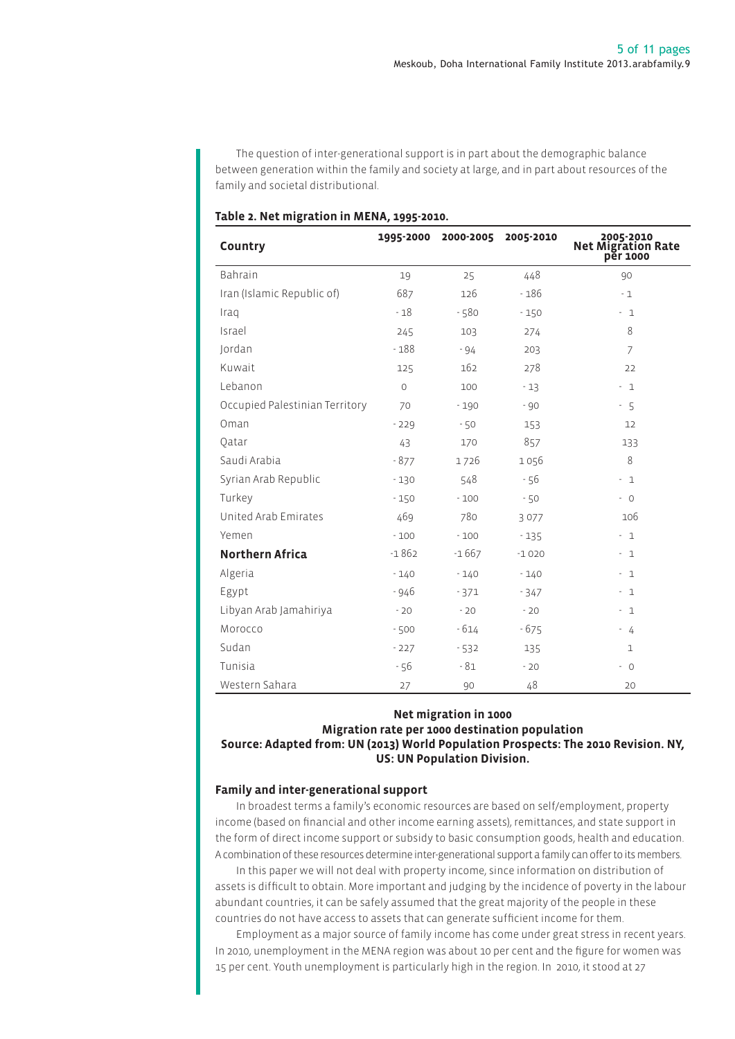The question of inter-generational support is in part about the demographic balance between generation within the family and society at large, and in part about resources of the family and societal distributional.

| Country                        |         | 1995-2000 2000-2005 | 2005-2010 | 2005-2010<br>Net Migration Rate<br>per 1000 |
|--------------------------------|---------|---------------------|-----------|---------------------------------------------|
| Bahrain                        | 19      | 25                  | 448       | 90                                          |
| Iran (Islamic Republic of)     | 687     | 126                 | $-186$    | $-1$                                        |
| Iraq                           | $-18$   | $-580$              | $-150$    | $-1$                                        |
| Israel                         | 245     | 103                 | 274       | 8                                           |
| Jordan                         | $-188$  | $-94$               | 203       | $\overline{7}$                              |
| Kuwait                         | 125     | 162                 | 278       | 22                                          |
| Lebanon                        | $\circ$ | 100                 | $-13$     | $-1$                                        |
| Occupied Palestinian Territory | 70      | $-190$              | - 90      | $-5$                                        |
| Oman                           | $-229$  | $-50$               | 153       | 12                                          |
| Qatar                          | 43      | 170                 | 857       | 133                                         |
| Saudi Arabia                   | $-877$  | 1726                | 1056      | 8                                           |
| Syrian Arab Republic           | $-130$  | 548                 | - 56      | $-1$                                        |
| Turkey                         | $-150$  | $-100$              | $-50$     | $-0$                                        |
| United Arab Emirates           | 469     | 780                 | 3077      | 106                                         |
| Yemen                          | $-100$  | $-100$              | $-135$    | $-1$                                        |
| <b>Northern Africa</b>         | $-1862$ | $-1667$             | $-1020$   | $-1$                                        |
| Algeria                        | $-140$  | $-140$              | $-140$    | $-1$                                        |
| Egypt                          | $-946$  | $-371$              | $-347$    | $-1$                                        |
| Libyan Arab Jamahiriya         | $-20$   | $-20$               | $-20$     | $-1$                                        |
| Morocco                        | $-500$  | $-614$              | $-675$    | $-4$                                        |
| Sudan                          | $-227$  | $-532$              | 135       | $\mathbf 1$                                 |
| Tunisia                        | - 56    | $-81$               | $-20$     | $-0$                                        |
| Western Sahara                 | 27      | 90                  | 48        | 20                                          |

# **Table 2. Net migration in MENA, 1995-2010.**

# **Net migration in 1000 Migration rate per 1000 destination population Source: Adapted from: UN (2013) World Population Prospects: The 2010 Revision. NY, US: UN Population Division.**

# **Family and inter-generational support**

In broadest terms a family's economic resources are based on self/employment, property income (based on financial and other income earning assets), remittances, and state support in the form of direct income support or subsidy to basic consumption goods, health and education. A combination of these resources determine inter-generational support a family can offer to its members.

In this paper we will not deal with property income, since information on distribution of assets is difficult to obtain. More important and judging by the incidence of poverty in the labour abundant countries, it can be safely assumed that the great majority of the people in these countries do not have access to assets that can generate sufficient income for them.

Employment as a major source of family income has come under great stress in recent years. In 2010, unemployment in the MENA region was about 10 per cent and the figure for women was 15 per cent. Youth unemployment is particularly high in the region. In 2010, it stood at 27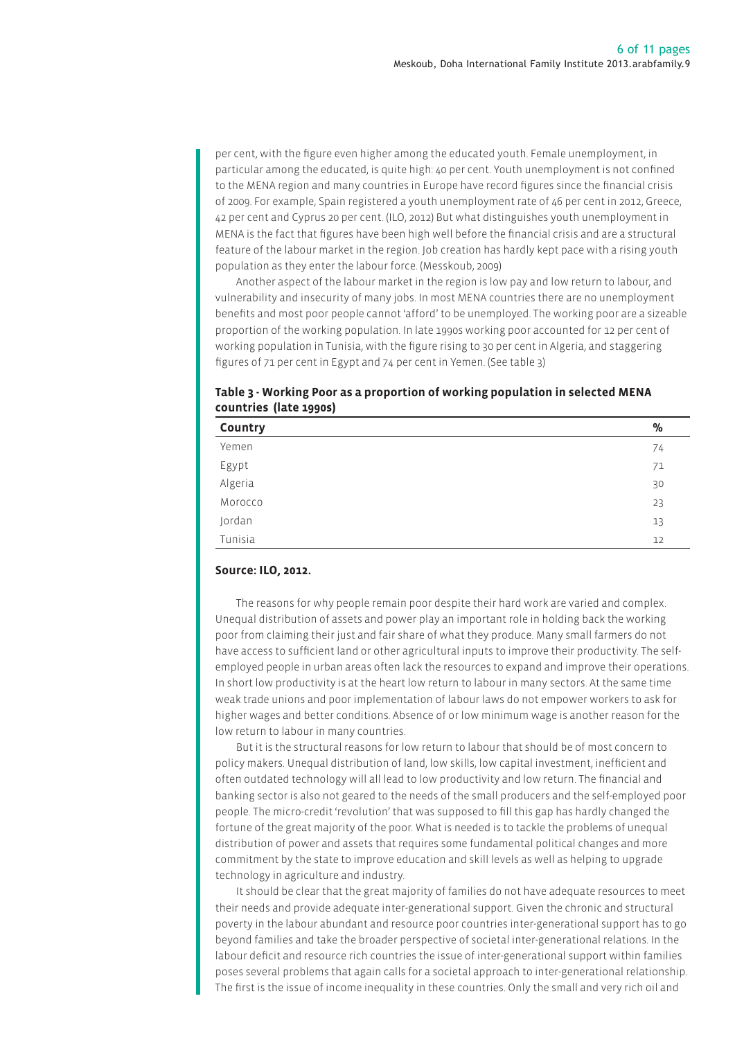per cent, with the figure even higher among the educated youth. Female unemployment, in particular among the educated, is quite high: 40 per cent. Youth unemployment is not confined to the MENA region and many countries in Europe have record figures since the financial crisis of 2009. For example, Spain registered a youth unemployment rate of 46 per cent in 2012, Greece, 42 per cent and Cyprus 20 per cent. (ILO, 2012) But what distinguishes youth unemployment in MENA is the fact that figures have been high well before the financial crisis and are a structural feature of the labour market in the region. Job creation has hardly kept pace with a rising youth population as they enter the labour force. (Messkoub, 2009)

Another aspect of the labour market in the region is low pay and low return to labour, and vulnerability and insecurity of many jobs. In most MENA countries there are no unemployment benefits and most poor people cannot 'afford' to be unemployed. The working poor are a sizeable proportion of the working population. In late 1990s working poor accounted for 12 per cent of working population in Tunisia, with the figure rising to 30 per cent in Algeria, and staggering figures of 71 per cent in Egypt and 74 per cent in Yemen. (See table 3)

**Table 3 - Working Poor as a proportion of working population in selected MENA countries (late 1990s)**

| Country          | $\%$ |
|------------------|------|
| Yemen            | 74   |
|                  | 71   |
| Egypt<br>Algeria | 30   |
| Morocco          | 23   |
| Jordan           | 13   |
| Tunisia          | 12   |

### **Source: ILO, 2012.**

The reasons for why people remain poor despite their hard work are varied and complex. Unequal distribution of assets and power play an important role in holding back the working poor from claiming their just and fair share of what they produce. Many small farmers do not have access to sufficient land or other agricultural inputs to improve their productivity. The selfemployed people in urban areas often lack the resources to expand and improve their operations. In short low productivity is at the heart low return to labour in many sectors. At the same time weak trade unions and poor implementation of labour laws do not empower workers to ask for higher wages and better conditions. Absence of or low minimum wage is another reason for the low return to labour in many countries.

But it is the structural reasons for low return to labour that should be of most concern to policy makers. Unequal distribution of land, low skills, low capital investment, inefficient and often outdated technology will all lead to low productivity and low return. The financial and banking sector is also not geared to the needs of the small producers and the self-employed poor people. The micro-credit 'revolution' that was supposed to fill this gap has hardly changed the fortune of the great majority of the poor. What is needed is to tackle the problems of unequal distribution of power and assets that requires some fundamental political changes and more commitment by the state to improve education and skill levels as well as helping to upgrade technology in agriculture and industry.

It should be clear that the great majority of families do not have adequate resources to meet their needs and provide adequate inter-generational support. Given the chronic and structural poverty in the labour abundant and resource poor countries inter-generational support has to go beyond families and take the broader perspective of societal inter-generational relations. In the labour deficit and resource rich countries the issue of inter-generational support within families poses several problems that again calls for a societal approach to inter-generational relationship. The first is the issue of income inequality in these countries. Only the small and very rich oil and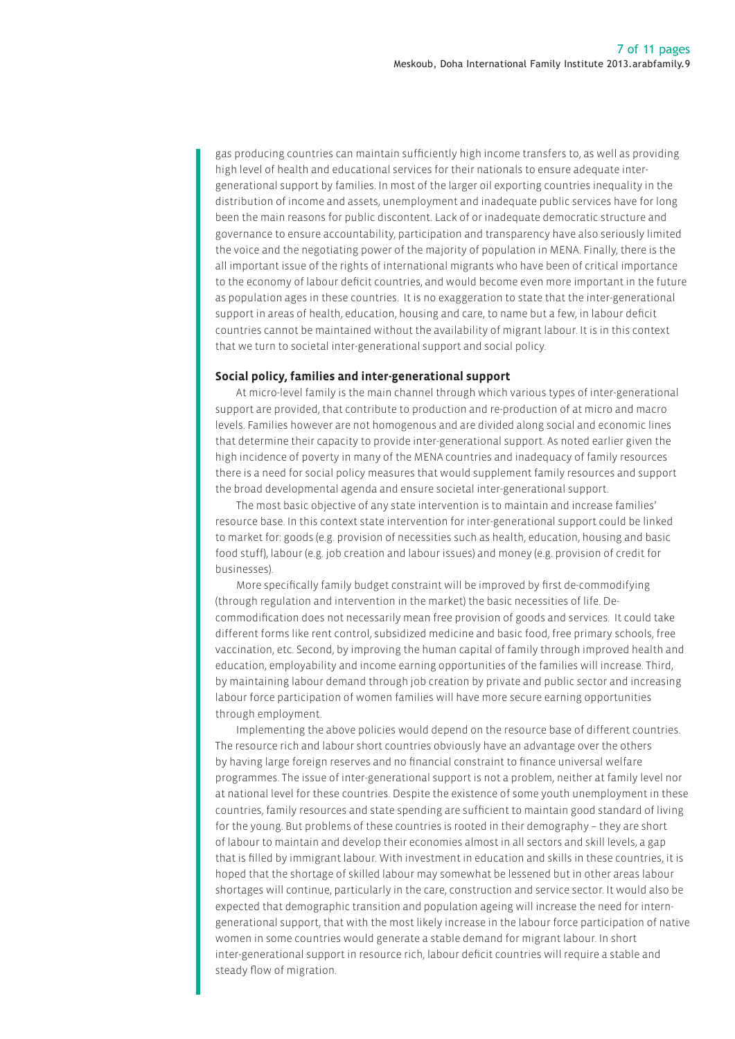gas producing countries can maintain sufficiently high income transfers to, as well as providing high level of health and educational services for their nationals to ensure adequate intergenerational support by families. In most of the larger oil exporting countries inequality in the distribution of income and assets, unemployment and inadequate public services have for long been the main reasons for public discontent. Lack of or inadequate democratic structure and governance to ensure accountability, participation and transparency have also seriously limited the voice and the negotiating power of the majority of population in MENA. Finally, there is the all important issue of the rights of international migrants who have been of critical importance to the economy of labour deficit countries, and would become even more important in the future as population ages in these countries. It is no exaggeration to state that the inter-generational support in areas of health, education, housing and care, to name but a few, in labour deficit countries cannot be maintained without the availability of migrant labour. It is in this context that we turn to societal inter-generational support and social policy.

### **Social policy, families and inter-generational support**

At micro-level family is the main channel through which various types of inter-generational support are provided, that contribute to production and re-production of at micro and macro levels. Families however are not homogenous and are divided along social and economic lines that determine their capacity to provide inter-generational support. As noted earlier given the high incidence of poverty in many of the MENA countries and inadequacy of family resources there is a need for social policy measures that would supplement family resources and support the broad developmental agenda and ensure societal inter-generational support.

The most basic objective of any state intervention is to maintain and increase families' resource base. In this context state intervention for inter-generational support could be linked to market for: goods (e.g. provision of necessities such as health, education, housing and basic food stuff), labour (e.g. job creation and labour issues) and money (e.g. provision of credit for businesses).

More specifically family budget constraint will be improved by first de-commodifying (through regulation and intervention in the market) the basic necessities of life. Decommodification does not necessarily mean free provision of goods and services. It could take different forms like rent control, subsidized medicine and basic food, free primary schools, free vaccination, etc. Second, by improving the human capital of family through improved health and education, employability and income earning opportunities of the families will increase. Third, by maintaining labour demand through job creation by private and public sector and increasing labour force participation of women families will have more secure earning opportunities through employment.

Implementing the above policies would depend on the resource base of different countries. The resource rich and labour short countries obviously have an advantage over the others by having large foreign reserves and no financial constraint to finance universal welfare programmes. The issue of inter-generational support is not a problem, neither at family level nor at national level for these countries. Despite the existence of some youth unemployment in these countries, family resources and state spending are sufficient to maintain good standard of living for the young. But problems of these countries is rooted in their demography – they are short of labour to maintain and develop their economies almost in all sectors and skill levels, a gap that is filled by immigrant labour. With investment in education and skills in these countries, it is hoped that the shortage of skilled labour may somewhat be lessened but in other areas labour shortages will continue, particularly in the care, construction and service sector. It would also be expected that demographic transition and population ageing will increase the need for interngenerational support, that with the most likely increase in the labour force participation of native women in some countries would generate a stable demand for migrant labour. In short inter-generational support in resource rich, labour deficit countries will require a stable and steady flow of migration.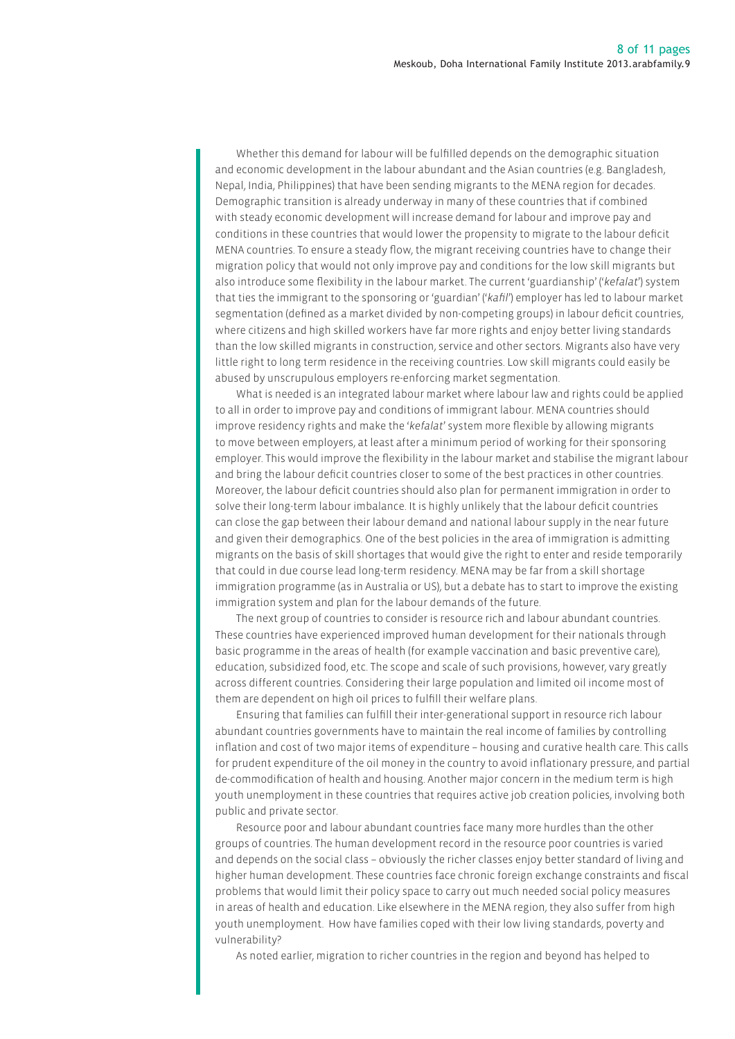Whether this demand for labour will be fulfilled depends on the demographic situation and economic development in the labour abundant and the Asian countries (e.g. Bangladesh, Nepal, India, Philippines) that have been sending migrants to the MENA region for decades. Demographic transition is already underway in many of these countries that if combined with steady economic development will increase demand for labour and improve pay and conditions in these countries that would lower the propensity to migrate to the labour deficit MENA countries. To ensure a steady flow, the migrant receiving countries have to change their migration policy that would not only improve pay and conditions for the low skill migrants but also introduce some flexibility in the labour market. The current 'guardianship' ('*kefalat*') system that ties the immigrant to the sponsoring or 'guardian' ('*kafil*') employer has led to labour market segmentation (defined as a market divided by non-competing groups) in labour deficit countries, where citizens and high skilled workers have far more rights and enjoy better living standards than the low skilled migrants in construction, service and other sectors. Migrants also have very little right to long term residence in the receiving countries. Low skill migrants could easily be abused by unscrupulous employers re-enforcing market segmentation.

What is needed is an integrated labour market where labour law and rights could be applied to all in order to improve pay and conditions of immigrant labour. MENA countries should improve residency rights and make the '*kefalat*' system more flexible by allowing migrants to move between employers, at least after a minimum period of working for their sponsoring employer. This would improve the flexibility in the labour market and stabilise the migrant labour and bring the labour deficit countries closer to some of the best practices in other countries. Moreover, the labour deficit countries should also plan for permanent immigration in order to solve their long-term labour imbalance. It is highly unlikely that the labour deficit countries can close the gap between their labour demand and national labour supply in the near future and given their demographics. One of the best policies in the area of immigration is admitting migrants on the basis of skill shortages that would give the right to enter and reside temporarily that could in due course lead long-term residency. MENA may be far from a skill shortage immigration programme (as in Australia or US), but a debate has to start to improve the existing immigration system and plan for the labour demands of the future.

The next group of countries to consider is resource rich and labour abundant countries. These countries have experienced improved human development for their nationals through basic programme in the areas of health (for example vaccination and basic preventive care), education, subsidized food, etc. The scope and scale of such provisions, however, vary greatly across different countries. Considering their large population and limited oil income most of them are dependent on high oil prices to fulfill their welfare plans.

Ensuring that families can fulfill their inter-generational support in resource rich labour abundant countries governments have to maintain the real income of families by controlling inflation and cost of two major items of expenditure – housing and curative health care. This calls for prudent expenditure of the oil money in the country to avoid inflationary pressure, and partial de-commodification of health and housing. Another major concern in the medium term is high youth unemployment in these countries that requires active job creation policies, involving both public and private sector.

Resource poor and labour abundant countries face many more hurdles than the other groups of countries. The human development record in the resource poor countries is varied and depends on the social class – obviously the richer classes enjoy better standard of living and higher human development. These countries face chronic foreign exchange constraints and fiscal problems that would limit their policy space to carry out much needed social policy measures in areas of health and education. Like elsewhere in the MENA region, they also suffer from high youth unemployment. How have families coped with their low living standards, poverty and vulnerability?

As noted earlier, migration to richer countries in the region and beyond has helped to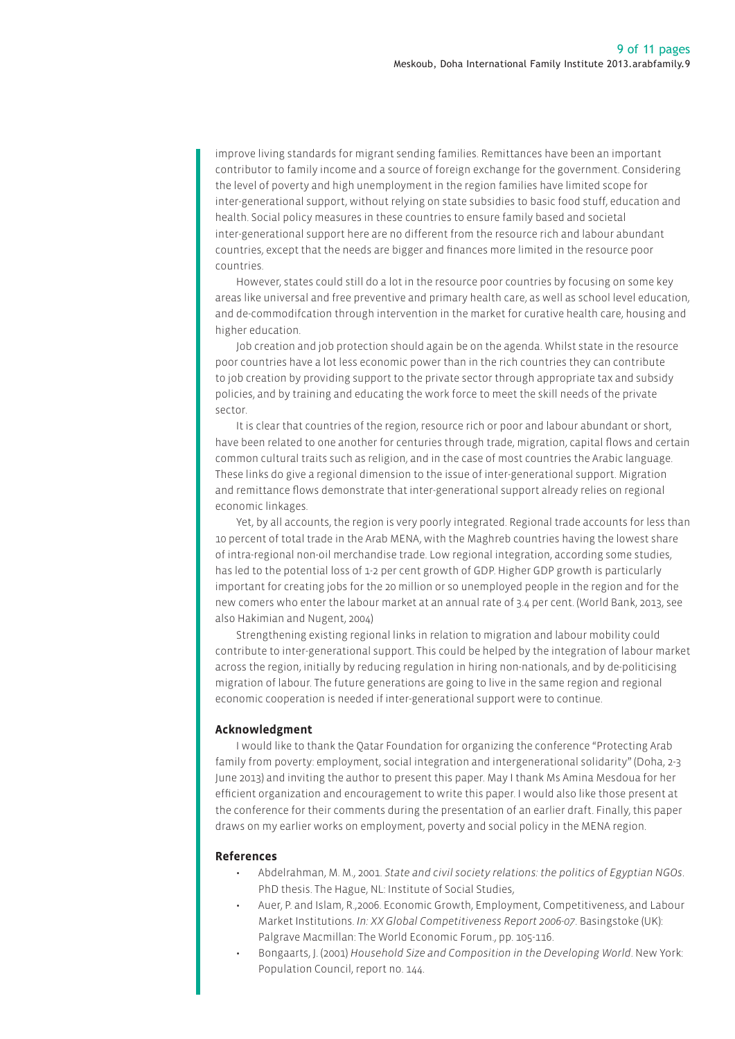improve living standards for migrant sending families. Remittances have been an important contributor to family income and a source of foreign exchange for the government. Considering the level of poverty and high unemployment in the region families have limited scope for inter-generational support, without relying on state subsidies to basic food stuff, education and health. Social policy measures in these countries to ensure family based and societal inter-generational support here are no different from the resource rich and labour abundant countries, except that the needs are bigger and finances more limited in the resource poor countries.

However, states could still do a lot in the resource poor countries by focusing on some key areas like universal and free preventive and primary health care, as well as school level education, and de-commodifcation through intervention in the market for curative health care, housing and higher education.

Job creation and job protection should again be on the agenda. Whilst state in the resource poor countries have a lot less economic power than in the rich countries they can contribute to job creation by providing support to the private sector through appropriate tax and subsidy policies, and by training and educating the work force to meet the skill needs of the private sector.

It is clear that countries of the region, resource rich or poor and labour abundant or short, have been related to one another for centuries through trade, migration, capital flows and certain common cultural traits such as religion, and in the case of most countries the Arabic language. These links do give a regional dimension to the issue of inter-generational support. Migration and remittance flows demonstrate that inter-generational support already relies on regional economic linkages.

Yet, by all accounts, the region is very poorly integrated. Regional trade accounts for less than 10 percent of total trade in the Arab MENA, with the Maghreb countries having the lowest share of intra-regional non-oil merchandise trade. Low regional integration, according some studies, has led to the potential loss of 1-2 per cent growth of GDP. Higher GDP growth is particularly important for creating jobs for the 20 million or so unemployed people in the region and for the new comers who enter the labour market at an annual rate of 3.4 per cent. (World Bank, 2013, see also Hakimian and Nugent, 2004)

Strengthening existing regional links in relation to migration and labour mobility could contribute to inter-generational support. This could be helped by the integration of labour market across the region, initially by reducing regulation in hiring non-nationals, and by de-politicising migration of labour. The future generations are going to live in the same region and regional economic cooperation is needed if inter-generational support were to continue.

### **Acknowledgment**

I would like to thank the Qatar Foundation for organizing the conference "Protecting Arab family from poverty: employment, social integration and intergenerational solidarity" (Doha, 2-3 June 2013) and inviting the author to present this paper. May I thank Ms Amina Mesdoua for her efficient organization and encouragement to write this paper. I would also like those present at the conference for their comments during the presentation of an earlier draft. Finally, this paper draws on my earlier works on employment, poverty and social policy in the MENA region.

#### **References**

- Abdelrahman, M. M., 2001. *State and civil society relations: the politics of Egyptian NGOs*. PhD thesis. The Hague, NL: Institute of Social Studies,
- Auer, P. and Islam, R.,2006. Economic Growth, Employment, Competitiveness, and Labour Market Institutions. *In: XX Global Competitiveness Report 2006-07*. Basingstoke (UK): Palgrave Macmillan: The World Economic Forum., pp. 105-116.
- Bongaarts, J. (2001) *Household Size and Composition in the Developing World*. New York: Population Council, report no. 144.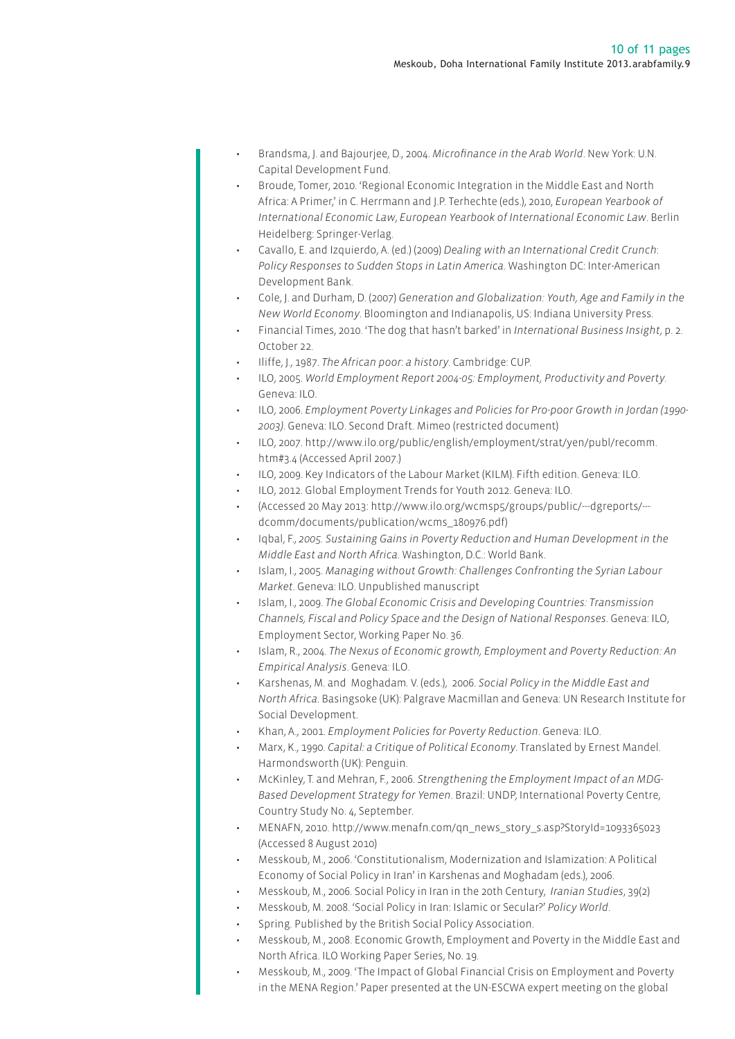- Brandsma, J. and Bajourjee, D., 2004. *Microfinance in the Arab World*. New York: U.N. Capital Development Fund.
- Broude, Tomer, 2010. 'Regional Economic Integration in the Middle East and North Africa: A Primer,' in C. Herrmann and J.P. Terhechte (eds.), 2010, *European Yearbook of International Economic Law*, *European Yearbook of International Economic Law*. Berlin Heidelberg: Springer-Verlag.
- Cavallo, E. and Izquierdo, A. (ed.) (2009) *Dealing with an International Credit Crunch*: *Policy Responses to Sudden Stops in Latin America*. Washington DC: Inter-American Development Bank.
- Cole, J. and Durham, D. (2007) *Generation and Globalization: Youth, Age and Family in the New World Economy*. Bloomington and Indianapolis, US: Indiana University Press.
- Financial Times, 2010. 'The dog that hasn't barked' in *International Business Insight*, p. 2. October 22.
- Iliffe, J., 1987. *The African poor*: *a history*. Cambridge: CUP.
- ILO, 2005. *World Employment Report 2004-05: Employment, Productivity and Poverty*. Geneva: ILO.
- ILO, 2006. *Employment Poverty Linkages and Policies for Pro-poor Growth in Jordan (1990- 2003)*. Geneva: ILO. Second Draft. Mimeo (restricted document)
- ILO, 2007. http://www.ilo.org/public/english/employment/strat/yen/publ/recomm. htm#3.4 (Accessed April 2007.)
- ILO, 2009. Key Indicators of the Labour Market (KILM). Fifth edition. Geneva: ILO.
- ILO, 2012. Global Employment Trends for Youth 2012. Geneva: ILO.
- (Accessed 20 May 2013: http://www.ilo.org/wcmsp5/groups/public/---dgreports/-- dcomm/documents/publication/wcms\_180976.pdf)
- Iqbal, F., *2005. Sustaining Gains in Poverty Reduction and Human Development in the Middle East and North Africa*. Washington, D.C.: World Bank.
- Islam, I., 2005. *Managing without Growth: Challenges Confronting the Syrian Labour Market*. Geneva: ILO. Unpublished manuscript
- Islam, I., 2009. *The Global Economic Crisis and Developing Countries: Transmission Channels, Fiscal and Policy Space and the Design of National Responses*. Geneva: ILO, Employment Sector, Working Paper No. 36.
- Islam, R., 2004. *The Nexus of Economic growth, Employment and Poverty Reduction: An Empirical Analysis*. Geneva: ILO.
- Karshenas, M. and Moghadam. V. (eds.), 2006. *Social Policy in the Middle East and North Africa*. Basingsoke (UK): Palgrave Macmillan and Geneva: UN Research Institute for Social Development.
- Khan, A., 2001. *Employment Policies for Poverty Reduction*. Geneva: ILO.
- Marx, K., 1990. *Capital: a Critique of Political Economy*. Translated by Ernest Mandel. Harmondsworth (UK): Penguin.
- McKinley, T. and Mehran, F., 2006. *Strengthening the Employment Impact of an MDG-Based Development Strategy for Yemen*. Brazil: UNDP, International Poverty Centre, Country Study No. 4, September.
- MENAFN, 2010. http://www.menafn.com/qn\_news\_story\_s.asp?StoryId=1093365023 (Accessed 8 August 2010)
- Messkoub, M., 2006. 'Constitutionalism, Modernization and Islamization: A Political Economy of Social Policy in Iran' in Karshenas and Moghadam (eds.), 2006.
- Messkoub, M., 2006. Social Policy in Iran in the 20th Century, *Iranian Studies*, 39(2)
- Messkoub, M. 2008. 'Social Policy in Iran: Islamic or Secular?' *Policy World*.
	- Spring. Published by the British Social Policy Association.
	- Messkoub, M., 2008. Economic Growth, Employment and Poverty in the Middle East and North Africa. ILO Working Paper Series, No. 19.
	- Messkoub, M., 2009. 'The Impact of Global Financial Crisis on Employment and Poverty in the MENA Region.' Paper presented at the UN-ESCWA expert meeting on the global